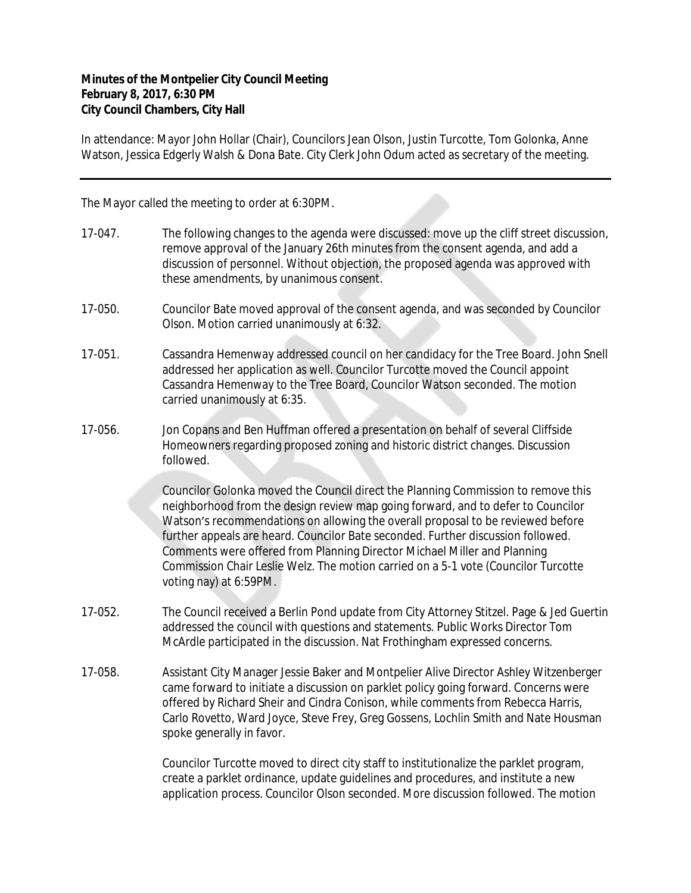## **Minutes of the Montpelier City Council Meeting February 8, 2017, 6:30 PM City Council Chambers, City Hall**

In attendance: Mayor John Hollar (Chair), Councilors Jean Olson, Justin Turcotte, Tom Golonka, Anne Watson, Jessica Edgerly Walsh & Dona Bate. City Clerk John Odum acted as secretary of the meeting.

The Mayor called the meeting to order at 6:30PM.

- 17-047. The following changes to the agenda were discussed: move up the cliff street discussion, remove approval of the January 26th minutes from the consent agenda, and add a discussion of personnel. Without objection, the proposed agenda was approved with these amendments, by unanimous consent.
- 17-050. Councilor Bate moved approval of the consent agenda, and was seconded by Councilor Olson. Motion carried unanimously at 6:32.
- 17-051. Cassandra Hemenway addressed council on her candidacy for the Tree Board. John Snell addressed her application as well. Councilor Turcotte moved the Council appoint Cassandra Hemenway to the Tree Board, Councilor Watson seconded. The motion carried unanimously at 6:35.
- 17-056. Jon Copans and Ben Huffman offered a presentation on behalf of several Cliffside Homeowners regarding proposed zoning and historic district changes. Discussion followed.

Councilor Golonka moved the Council direct the Planning Commission to remove this neighborhood from the design review map going forward, and to defer to Councilor Watson's recommendations on allowing the overall proposal to be reviewed before further appeals are heard. Councilor Bate seconded. Further discussion followed. Comments were offered from Planning Director Michael Miller and Planning Commission Chair Leslie Welz. The motion carried on a 5-1 vote (Councilor Turcotte voting nay) at 6:59PM.

- 17-052. The Council received a Berlin Pond update from City Attorney Stitzel. Page & Jed Guertin addressed the council with questions and statements. Public Works Director Tom McArdle participated in the discussion. Nat Frothingham expressed concerns.
- 17-058. Assistant City Manager Jessie Baker and Montpelier Alive Director Ashley Witzenberger came forward to initiate a discussion on parklet policy going forward. Concerns were offered by Richard Sheir and Cindra Conison, while comments from Rebecca Harris, Carlo Rovetto, Ward Joyce, Steve Frey, Greg Gossens, Lochlin Smith and Nate Housman spoke generally in favor.

Councilor Turcotte moved to direct city staff to institutionalize the parklet program, create a parklet ordinance, update guidelines and procedures, and institute a new application process. Councilor Olson seconded. More discussion followed. The motion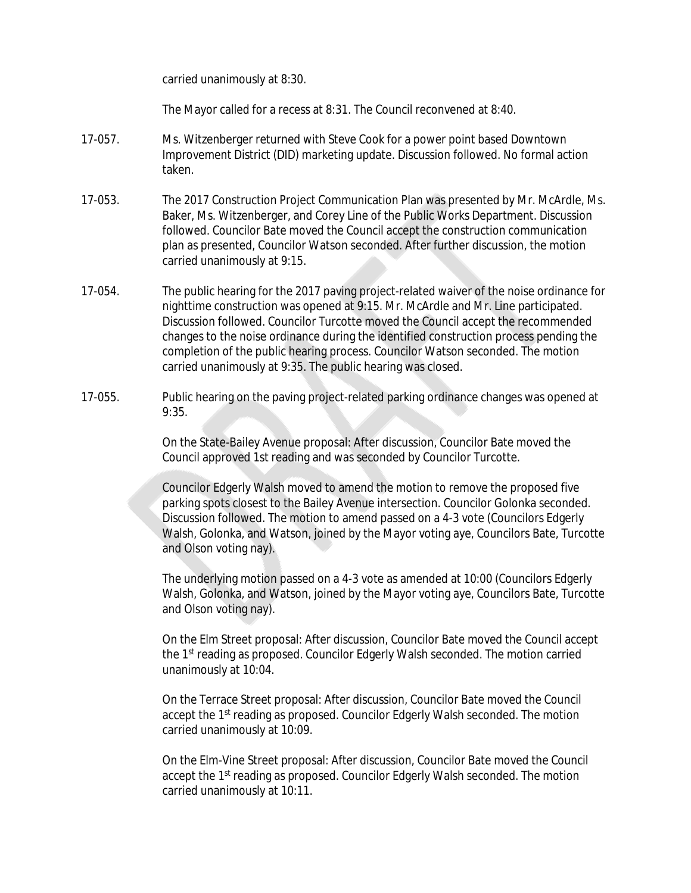carried unanimously at 8:30.

The Mayor called for a recess at 8:31. The Council reconvened at 8:40.

- 17-057. Ms. Witzenberger returned with Steve Cook for a power point based Downtown Improvement District (DID) marketing update. Discussion followed. No formal action taken.
- 17-053. The 2017 Construction Project Communication Plan was presented by Mr. McArdle, Ms. Baker, Ms. Witzenberger, and Corey Line of the Public Works Department. Discussion followed. Councilor Bate moved the Council accept the construction communication plan as presented, Councilor Watson seconded. After further discussion, the motion carried unanimously at 9:15.
- 17-054. The public hearing for the 2017 paving project-related waiver of the noise ordinance for nighttime construction was opened at 9:15. Mr. McArdle and Mr. Line participated. Discussion followed. Councilor Turcotte moved the Council accept the recommended changes to the noise ordinance during the identified construction process pending the completion of the public hearing process. Councilor Watson seconded. The motion carried unanimously at 9:35. The public hearing was closed.
- 17-055. Public hearing on the paving project-related parking ordinance changes was opened at 9:35.

On the State-Bailey Avenue proposal: After discussion, Councilor Bate moved the Council approved 1st reading and was seconded by Councilor Turcotte.

Councilor Edgerly Walsh moved to amend the motion to remove the proposed five parking spots closest to the Bailey Avenue intersection. Councilor Golonka seconded. Discussion followed. The motion to amend passed on a 4-3 vote (Councilors Edgerly Walsh, Golonka, and Watson, joined by the Mayor voting aye, Councilors Bate, Turcotte and Olson voting nay).

The underlying motion passed on a 4-3 vote as amended at 10:00 (Councilors Edgerly Walsh, Golonka, and Watson, joined by the Mayor voting aye, Councilors Bate, Turcotte and Olson voting nay).

On the Elm Street proposal: After discussion, Councilor Bate moved the Council accept the 1<sup>st</sup> reading as proposed. Councilor Edgerly Walsh seconded. The motion carried unanimously at 10:04.

On the Terrace Street proposal: After discussion, Councilor Bate moved the Council accept the 1<sup>st</sup> reading as proposed. Councilor Edgerly Walsh seconded. The motion carried unanimously at 10:09.

On the Elm-Vine Street proposal: After discussion, Councilor Bate moved the Council accept the 1<sup>st</sup> reading as proposed. Councilor Edgerly Walsh seconded. The motion carried unanimously at 10:11.